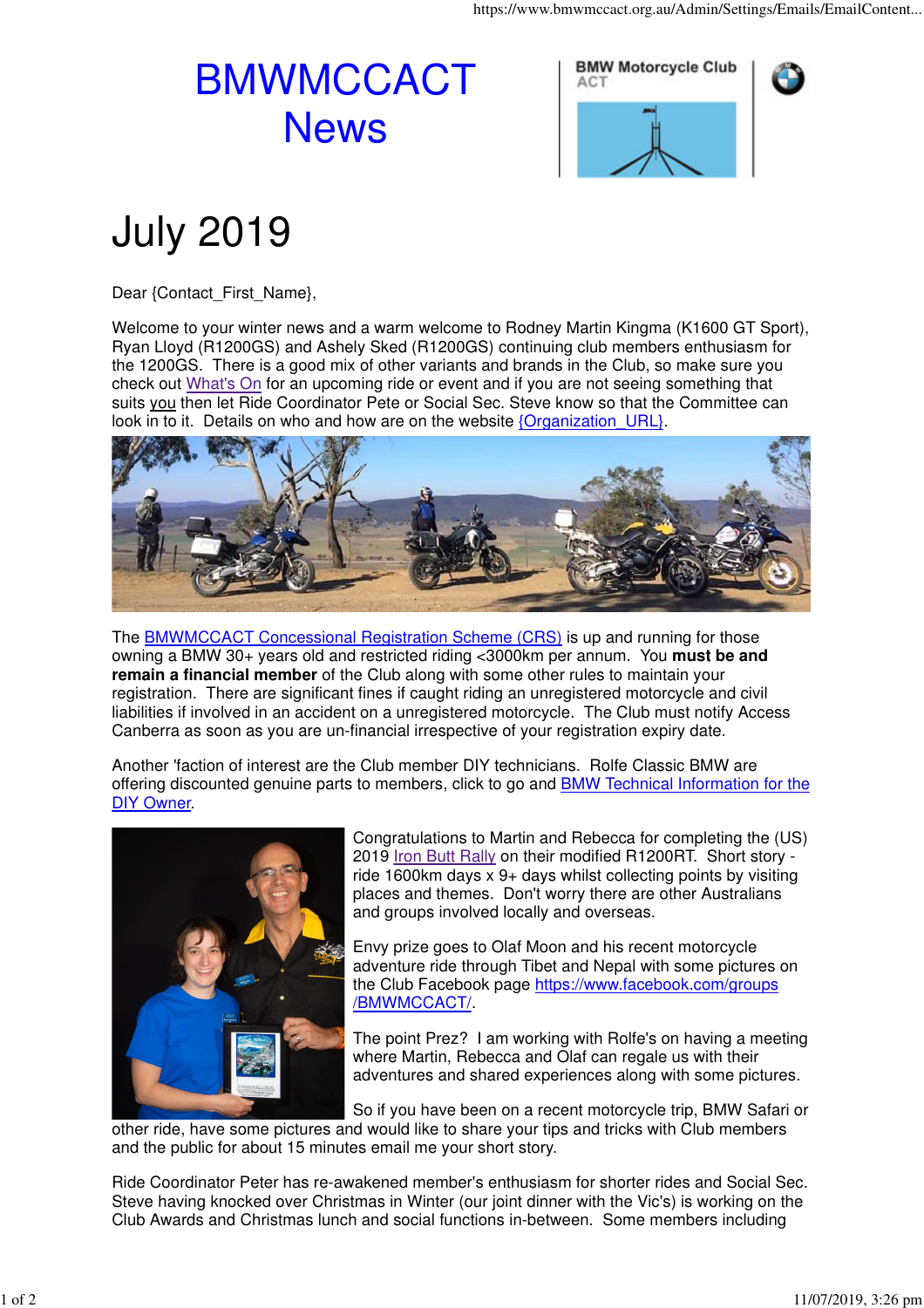## BMWMCCACT **News**





## July 2019

Dear {Contact\_First\_Name},

Welcome to your winter news and a warm welcome to Rodney Martin Kingma (K1600 GT Sport), Ryan Lloyd (R1200GS) and Ashely Sked (R1200GS) continuing club members enthusiasm for the 1200GS. There is a good mix of other variants and brands in the Club, so make sure you check out What's On for an upcoming ride or event and if you are not seeing something that suits you then let Ride Coordinator Pete or Social Sec. Steve know so that the Committee can look in to it. Details on who and how are on the website {Organization URL}.



The BMWMCCACT Concessional Registration Scheme (CRS) is up and running for those owning a BMW 30+ years old and restricted riding <3000km per annum. You **must be and remain a financial member** of the Club along with some other rules to maintain your registration. There are significant fines if caught riding an unregistered motorcycle and civil liabilities if involved in an accident on a unregistered motorcycle. The Club must notify Access Canberra as soon as you are un-financial irrespective of your registration expiry date.

Another 'faction of interest are the Club member DIY technicians. Rolfe Classic BMW are offering discounted genuine parts to members, click to go and BMW Technical Information for the DIY Owner.



Congratulations to Martin and Rebecca for completing the (US) 2019 Iron Butt Rally on their modified R1200RT. Short story ride 1600km days x 9+ days whilst collecting points by visiting places and themes. Don't worry there are other Australians and groups involved locally and overseas.

Envy prize goes to Olaf Moon and his recent motorcycle adventure ride through Tibet and Nepal with some pictures on the Club Facebook page https://www.facebook.com/groups /BMWMCCACT/.

The point Prez? I am working with Rolfe's on having a meeting where Martin, Rebecca and Olaf can regale us with their adventures and shared experiences along with some pictures.

So if you have been on a recent motorcycle trip, BMW Safari or other ride, have some pictures and would like to share your tips and tricks with Club members and the public for about 15 minutes email me your short story.

Ride Coordinator Peter has re-awakened member's enthusiasm for shorter rides and Social Sec. Steve having knocked over Christmas in Winter (our joint dinner with the Vic's) is working on the Club Awards and Christmas lunch and social functions in-between. Some members including